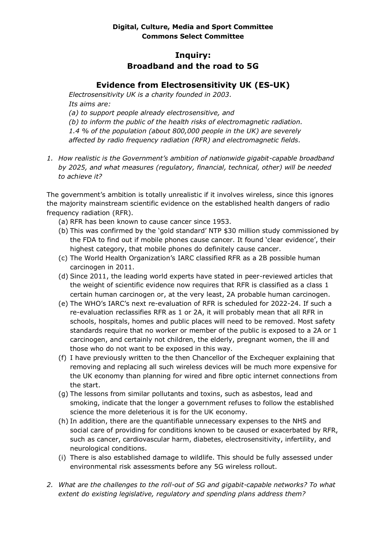## **Digital, Culture, Media and Sport Committee Commons Select Committee**

## **Inquiry: Broadband and the road to 5G**

## **Evidence from Electrosensitivity UK (ES-UK)**

*Electrosensitivity UK is a charity founded in 2003. Its aims are:* 

*(a) to support people already electrosensitive, and (b) to inform the public of the health risks of electromagnetic radiation. 1.4 % of the population (about 800,000 people in the UK) are severely affected by radio frequency radiation (RFR) and electromagnetic fields.*

*1. How realistic is the Government's ambition of nationwide gigabit-capable broadband by 2025, and what measures (regulatory, financial, technical, other) will be needed to achieve it?*

The government's ambition is totally unrealistic if it involves wireless, since this ignores the majority mainstream scientific evidence on the established health dangers of radio frequency radiation (RFR).

- (a) RFR has been known to cause cancer since 1953.
- (b) This was confirmed by the 'gold standard' NTP \$30 million study commissioned by the FDA to find out if mobile phones cause cancer. It found 'clear evidence', their highest category, that mobile phones do definitely cause cancer.
- (c) The World Health Organization's IARC classified RFR as a 2B possible human carcinogen in 2011.
- (d) Since 2011, the leading world experts have stated in peer-reviewed articles that the weight of scientific evidence now requires that RFR is classified as a class 1 certain human carcinogen or, at the very least, 2A probable human carcinogen.
- (e) The WHO's IARC's next re-evaluation of RFR is scheduled for 2022-24. If such a re-evaluation reclassifies RFR as 1 or 2A, it will probably mean that all RFR in schools, hospitals, homes and public places will need to be removed. Most safety standards require that no worker or member of the public is exposed to a 2A or 1 carcinogen, and certainly not children, the elderly, pregnant women, the ill and those who do not want to be exposed in this way.
- (f) I have previously written to the then Chancellor of the Exchequer explaining that removing and replacing all such wireless devices will be much more expensive for the UK economy than planning for wired and fibre optic internet connections from the start.
- (g) The lessons from similar pollutants and toxins, such as asbestos, lead and smoking, indicate that the longer a government refuses to follow the established science the more deleterious it is for the UK economy.
- (h) In addition, there are the quantifiable unnecessary expenses to the NHS and social care of providing for conditions known to be caused or exacerbated by RFR, such as cancer, cardiovascular harm, diabetes, electrosensitivity, infertility, and neurological conditions.
- (i) There is also established damage to wildlife. This should be fully assessed under environmental risk assessments before any 5G wireless rollout.
- *2. What are the challenges to the roll-out of 5G and gigabit-capable networks? To what extent do existing legislative, regulatory and spending plans address them?*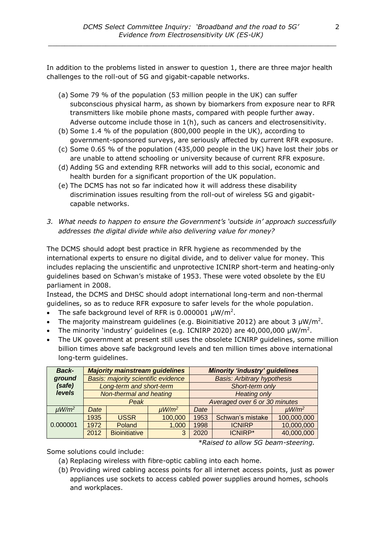In addition to the problems listed in answer to question 1, there are three major health challenges to the roll-out of 5G and gigabit-capable networks.

- (a) Some 79 % of the population (53 million people in the UK) can suffer subconscious physical harm, as shown by biomarkers from exposure near to RFR transmitters like mobile phone masts, compared with people further away. Adverse outcome include those in 1(h), such as cancers and electrosensitivity.
- (b) Some 1.4 % of the population (800,000 people in the UK), according to government-sponsored surveys, are seriously affected by current RFR exposure.
- (c) Some 0.65 % of the population (435,000 people in the UK) have lost their jobs or are unable to attend schooling or university because of current RFR exposure.
- (d) Adding 5G and extending RFR networks will add to this social, economic and health burden for a significant proportion of the UK population.
- (e) The DCMS has not so far indicated how it will address these disability discrimination issues resulting from the roll-out of wireless 5G and gigabitcapable networks.
- *3. What needs to happen to ensure the Government's 'outside in' approach successfully addresses the digital divide while also delivering value for money?*

The DCMS should adopt best practice in RFR hygiene as recommended by the international experts to ensure no digital divide, and to deliver value for money. This includes replacing the unscientific and unprotective ICNIRP short-term and heating-only guidelines based on Schwan's mistake of 1953. These were voted obsolete by the EU parliament in 2008.

Instead, the DCMS and DHSC should adopt international long-term and non-thermal guidelines, so as to reduce RFR exposure to safer levels for the whole population.

- The safe background level of RFR is 0.000001  $\mu$ W/m<sup>2</sup>.
- The majority mainstream guidelines (e.g. Bioinitiative 2012) are about 3  $\mu$ W/m<sup>2</sup>.
- The minority 'industry' guidelines (e.g. ICNIRP 2020) are 40,000,000  $\mu$ W/m<sup>2</sup>.
- The UK government at present still uses the obsolete ICNIRP guidelines, some million billion times above safe background levels and ten million times above international long-term guidelines.

| <b>Back-</b>           | <b>Majority mainstream guidelines</b>      |                      |                        | <b>Minority 'industry' guidelines</b> |                  |                        |
|------------------------|--------------------------------------------|----------------------|------------------------|---------------------------------------|------------------|------------------------|
| ground                 | <b>Basis: majority scientific evidence</b> |                      |                        | <b>Basis: Arbitrary hypothesis</b>    |                  |                        |
| (safe)                 | Long-term and short-term                   |                      |                        | Short-term only                       |                  |                        |
| levels                 | Non-thermal and heating                    |                      |                        | <b>Heating only</b>                   |                  |                        |
|                        | Peak                                       |                      |                        | Averaged over 6 or 30 minutes         |                  |                        |
| $\mu$ W/m <sup>2</sup> | Date                                       |                      | $\mu$ W/m <sup>2</sup> | Date                                  |                  | $\mu$ W/m <sup>2</sup> |
|                        | 1935                                       | <b>USSR</b>          | 100,000                | 1953                                  | Schwan's mistake | 100,000,000            |
| 0.000001               | 1972                                       | Poland               | 1,000                  | 1998                                  | <b>ICNIRP</b>    | 10,000,000             |
|                        | 2012                                       | <b>Bioinitiative</b> | 3                      | 2020                                  | ICNIRP*          | 40,000,000             |

*\*Raised to allow 5G beam-steering.*

Some solutions could include:

- (a) Replacing wireless with fibre-optic cabling into each home.
- (b) Providing wired cabling access points for all internet access points, just as power appliances use sockets to access cabled power supplies around homes, schools and workplaces.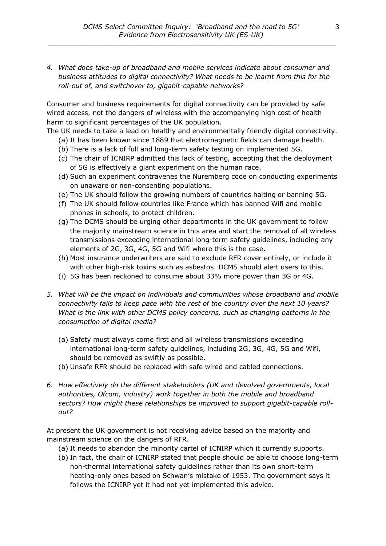*4. What does take-up of broadband and mobile services indicate about consumer and business attitudes to digital connectivity? What needs to be learnt from this for the roll-out of, and switchover to, gigabit-capable networks?*

Consumer and business requirements for digital connectivity can be provided by safe wired access, not the dangers of wireless with the accompanying high cost of health harm to significant percentages of the UK population.

The UK needs to take a lead on healthy and environmentally friendly digital connectivity.

- (a) It has been known since 1889 that electromagnetic fields can damage health.
- (b) There is a lack of full and long-term safety testing on implemented 5G.
- (c) The chair of ICNIRP admitted this lack of testing, accepting that the deployment of 5G is effectively a giant experiment on the human race.
- (d) Such an experiment contravenes the Nuremberg code on conducting experiments on unaware or non-consenting populations.
- (e) The UK should follow the growing numbers of countries halting or banning 5G.
- (f) The UK should follow countries like France which has banned Wifi and mobile phones in schools, to protect children.
- (g) The DCMS should be urging other departments in the UK government to follow the majority mainstream science in this area and start the removal of all wireless transmissions exceeding international long-term safety guidelines, including any elements of 2G, 3G, 4G, 5G and Wifi where this is the case.
- (h) Most insurance underwriters are said to exclude RFR cover entirely, or include it with other high-risk toxins such as asbestos. DCMS should alert users to this.
- (i) 5G has been reckoned to consume about 33% more power than 3G or 4G.
- *5. What will be the impact on individuals and communities whose broadband and mobile connectivity fails to keep pace with the rest of the country over the next 10 years? What is the link with other DCMS policy concerns, such as changing patterns in the consumption of digital media?*
	- (a) Safety must always come first and all wireless transmissions exceeding international long-term safety guidelines, including 2G, 3G, 4G, 5G and Wifi, should be removed as swiftly as possible.
	- (b) Unsafe RFR should be replaced with safe wired and cabled connections.
- *6. How effectively do the different stakeholders (UK and devolved governments, local authorities, Ofcom, industry) work together in both the mobile and broadband sectors? How might these relationships be improved to support gigabit-capable rollout?*

At present the UK government is not receiving advice based on the majority and mainstream science on the dangers of RFR.

- (a) It needs to abandon the minority cartel of ICNIRP which it currently supports.
- (b) In fact, the chair of ICNIRP stated that people should be able to choose long-term non-thermal international safety guidelines rather than its own short-term heating-only ones based on Schwan's mistake of 1953. The government says it follows the ICNIRP yet it had not yet implemented this advice.